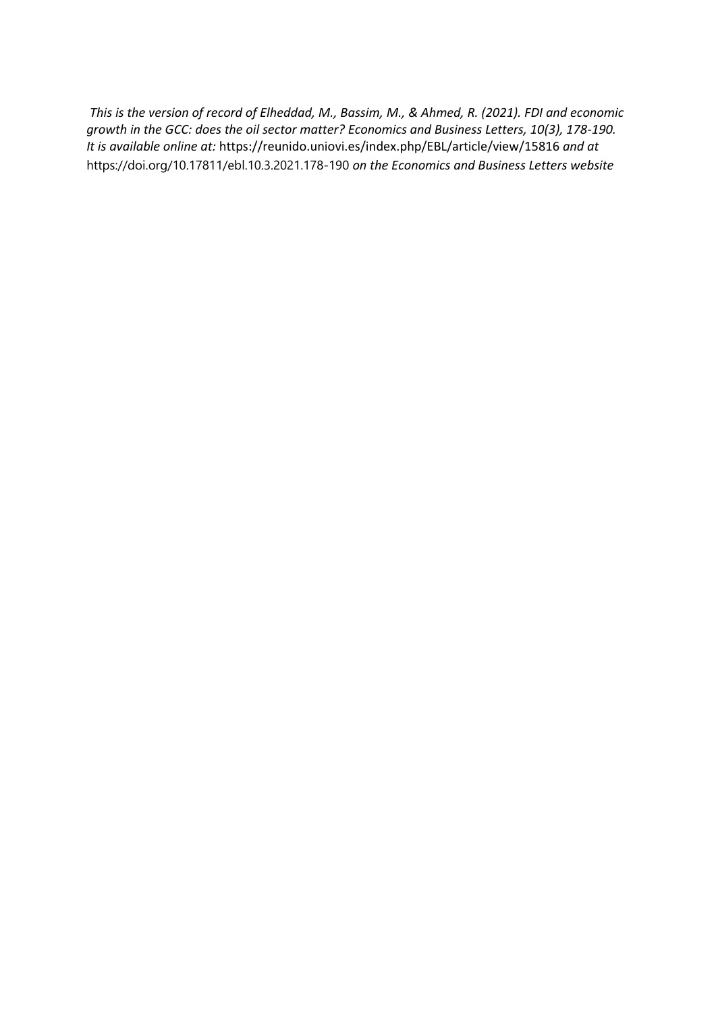*This is the version of record of Elheddad, M., Bassim, M., & Ahmed, R. (2021). FDI and economic growth in the GCC: does the oil sector matter? Economics and Business Letters, 10(3), 178-190. It is available online at:* https://reunido.uniovi.es/index.php/EBL/article/view/15816 *and at*  https://doi.org/10.17811/ebl.10.3.2021.178-190 *on the Economics and Business Letters website*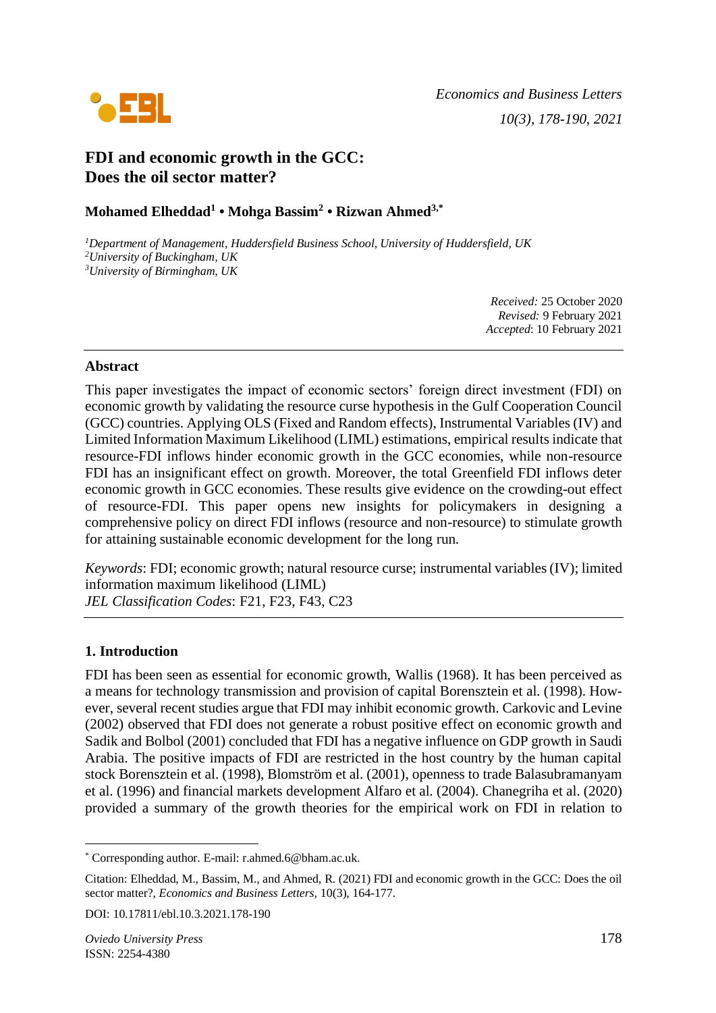

# **FDI and economic growth in the GCC: Does the oil sector matter?**

# **Mohamed Elheddad<sup>1</sup> • Mohga Bassim<sup>2</sup> • Rizwan Ahmed3,\***

*<sup>1</sup>Department of Management, Huddersfield Business School, University of Huddersfield, UK <sup>2</sup>University of Buckingham, UK <sup>3</sup>University of Birmingham, UK*

> *Received:* 25 October 2020 *Revised:* 9 February 2021 *Accepted*: 10 February 2021

# **Abstract**

This paper investigates the impact of economic sectors' foreign direct investment (FDI) on economic growth by validating the resource curse hypothesis in the Gulf Cooperation Council (GCC) countries. Applying OLS (Fixed and Random effects), Instrumental Variables (IV) and Limited Information Maximum Likelihood (LIML) estimations, empirical results indicate that resource-FDI inflows hinder economic growth in the GCC economies, while non-resource FDI has an insignificant effect on growth. Moreover, the total Greenfield FDI inflows deter economic growth in GCC economies. These results give evidence on the crowding-out effect of resource-FDI. This paper opens new insights for policymakers in designing a comprehensive policy on direct FDI inflows (resource and non-resource) to stimulate growth for attaining sustainable economic development for the long run.

*Keywords*: FDI; economic growth; natural resource curse; instrumental variables (IV); limited information maximum likelihood (LIML) *JEL Classification Codes*: F21, F23, F43, C23

# **1. Introduction**

FDI has been seen as essential for economic growth, Wallis (1968). It has been perceived as a means for technology transmission and provision of capital Borensztein et al. (1998). However, several recent studies argue that FDI may inhibit economic growth. Carkovic and Levine (2002) observed that FDI does not generate a robust positive effect on economic growth and Sadik and Bolbol (2001) concluded that FDI has a negative influence on GDP growth in Saudi Arabia. The positive impacts of FDI are restricted in the host country by the human capital stock Borensztein et al. (1998), Blomström et al. (2001), openness to trade Balasubramanyam et al. (1996) and financial markets development Alfaro et al. (2004). Chanegriha et al. (2020) provided a summary of the growth theories for the empirical work on FDI in relation to

<sup>\*</sup> Corresponding author. E-mail: r.ahmed.6@bham.ac.uk.

Citation: Elheddad, M., Bassim, M., and Ahmed, R. (2021) FDI and economic growth in the GCC: Does the oil sector matter?, *Economics and Business Letters,* 10(3), 164-177.

DOI: 10.17811/ebl.10.3.2021.178-190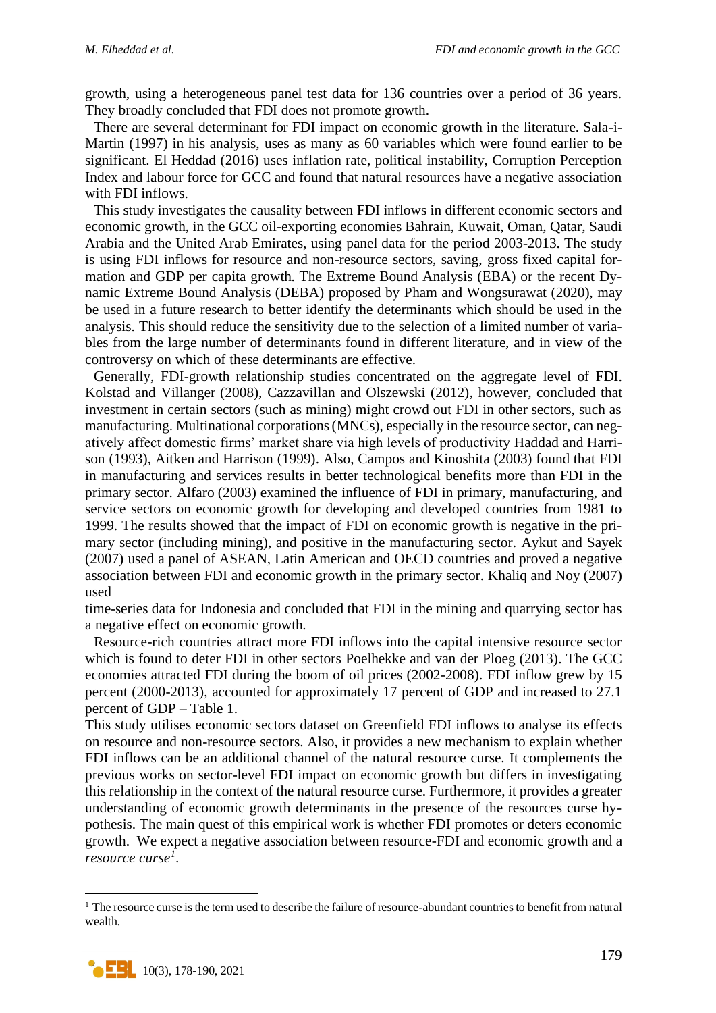growth, using a heterogeneous panel test data for 136 countries over a period of 36 years. They broadly concluded that FDI does not promote growth.

There are several determinant for FDI impact on economic growth in the literature. Sala-i-Martin (1997) in his analysis, uses as many as 60 variables which were found earlier to be significant. El Heddad (2016) uses inflation rate, political instability, Corruption Perception Index and labour force for GCC and found that natural resources have a negative association with FDI inflows.

This study investigates the causality between FDI inflows in different economic sectors and economic growth, in the GCC oil-exporting economies Bahrain, Kuwait, Oman, Qatar, Saudi Arabia and the United Arab Emirates, using panel data for the period 2003-2013. The study is using FDI inflows for resource and non-resource sectors, saving, gross fixed capital formation and GDP per capita growth. The Extreme Bound Analysis (EBA) or the recent Dynamic Extreme Bound Analysis (DEBA) proposed by Pham and [Wongsurawat](https://www.researchgate.net/scientific-contributions/Winai-Wongsurawat-2176745332) (2020), may be used in a future research to better identify the determinants which should be used in the analysis. This should reduce the sensitivity due to the selection of a limited number of variables from the large number of determinants found in different literature, and in view of the controversy on which of these determinants are effective.

Generally, FDI-growth relationship studies concentrated on the aggregate level of FDI. Kolstad and Villanger (2008), Cazzavillan and Olszewski (2012), however, concluded that investment in certain sectors (such as mining) might crowd out FDI in other sectors, such as manufacturing. Multinational corporations (MNCs), especially in the resource sector, can negatively affect domestic firms' market share via high levels of productivity Haddad and Harrison (1993), Aitken and Harrison (1999). Also, Campos and Kinoshita (2003) found that FDI in manufacturing and services results in better technological benefits more than FDI in the primary sector. Alfaro (2003) examined the influence of FDI in primary, manufacturing, and service sectors on economic growth for developing and developed countries from 1981 to 1999. The results showed that the impact of FDI on economic growth is negative in the primary sector (including mining), and positive in the manufacturing sector. Aykut and Sayek (2007) used a panel of ASEAN, Latin American and OECD countries and proved a negative association between FDI and economic growth in the primary sector. Khaliq and Noy (2007) used

time-series data for Indonesia and concluded that FDI in the mining and quarrying sector has a negative effect on economic growth.

Resource-rich countries attract more FDI inflows into the capital intensive resource sector which is found to deter FDI in other sectors Poelhekke and van der Ploeg (2013). The GCC economies attracted FDI during the boom of oil prices (2002-2008). FDI inflow grew by 15 percent (2000-2013), accounted for approximately 17 percent of GDP and increased to 27.1 percent of GDP – Table 1.

This study utilises economic sectors dataset on Greenfield FDI inflows to analyse its effects on resource and non-resource sectors. Also, it provides a new mechanism to explain whether FDI inflows can be an additional channel of the natural resource curse. It complements the previous works on sector-level FDI impact on economic growth but differs in investigating this relationship in the context of the natural resource curse. Furthermore, it provides a greater understanding of economic growth determinants in the presence of the resources curse hypothesis. The main quest of this empirical work is whether FDI promotes or deters economic growth. We expect a negative association between resource-FDI and economic growth and a *resource curse<sup>1</sup>* .

<sup>&</sup>lt;sup>1</sup> The resource curse is the term used to describe the failure of resource-abundant countries to benefit from natural wealth.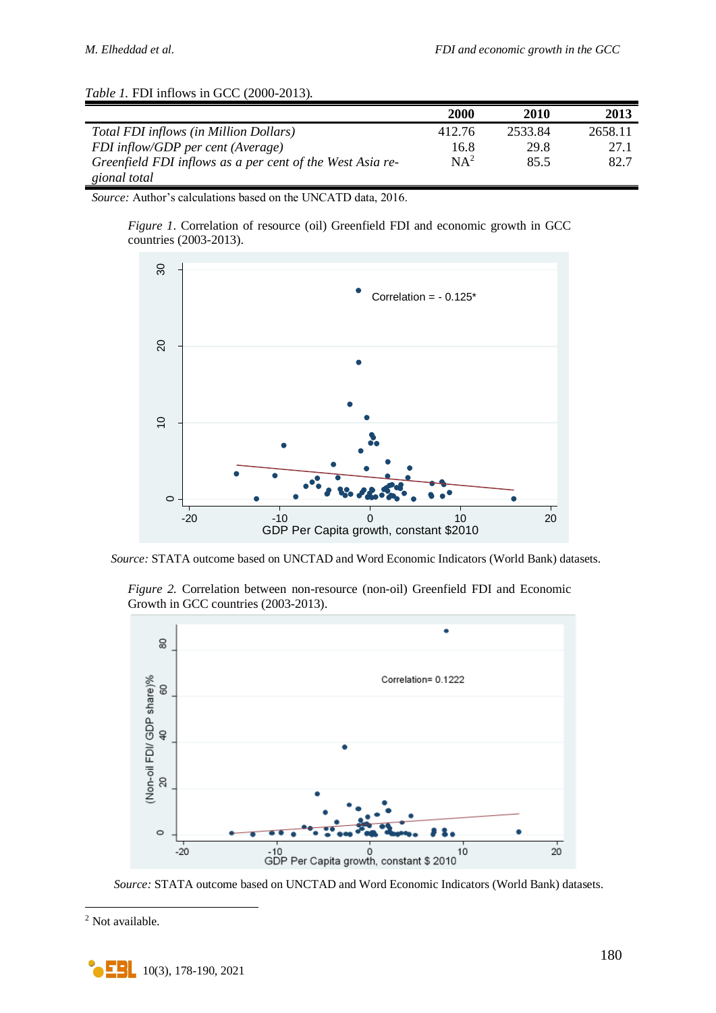|                                                           | 2000   | 2010    | 2013    |
|-----------------------------------------------------------|--------|---------|---------|
| Total FDI inflows (in Million Dollars)                    | 412.76 | 2533.84 | 2658.11 |
| FDI inflow/GDP per cent (Average)                         | 16.8   | 29.8    | 27.1    |
| Greenfield FDI inflows as a per cent of the West Asia re- | $NA^2$ | 85.5    | 82.7    |
| gional total                                              |        |         |         |

# *Table 1.* FDI inflows in GCC (2000-2013).

*Source:* Author's calculations based on the UNCATD data, 2016.

*Figure 1*. Correlation of resource (oil) Greenfield FDI and economic growth in GCC countries (2003-2013).



*Source:* STATA outcome based on UNCTAD and Word Economic Indicators (World Bank) datasets.

*Figure 2.* Correlation between non-resource (non-oil) Greenfield FDI and Economic Growth in GCC countries (2003-2013).



*Source:* STATA outcome based on UNCTAD and Word Economic Indicators (World Bank) datasets.

<sup>2</sup> Not available.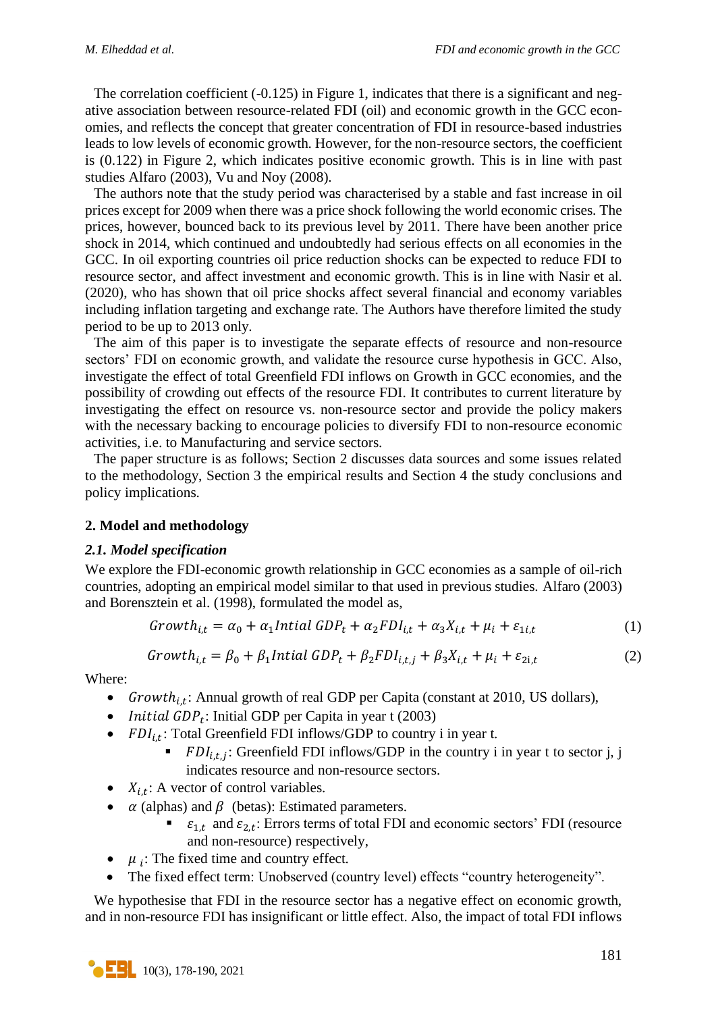The correlation coefficient  $(-0.125)$  in Figure 1, indicates that there is a significant and negative association between resource-related FDI (oil) and economic growth in the GCC economies, and reflects the concept that greater concentration of FDI in resource-based industries leads to low levels of economic growth. However, for the non-resource sectors, the coefficient is (0.122) in Figure 2, which indicates positive economic growth. This is in line with past studies Alfaro (2003), Vu and Noy (2008).

The authors note that the study period was characterised by a stable and fast increase in oil prices except for 2009 when there was a price shock following the world economic crises. The prices, however, bounced back to its previous level by 2011. There have been another price shock in 2014, which continued and undoubtedly had serious effects on all economies in the GCC. In oil exporting countries oil price reduction shocks can be expected to reduce FDI to resource sector, and affect investment and economic growth. This is in line with Nasir et al. (2020), who has shown that oil price shocks affect several financial and economy variables including inflation targeting and exchange rate. The Authors have therefore limited the study period to be up to 2013 only.

The aim of this paper is to investigate the separate effects of resource and non-resource sectors' FDI on economic growth, and validate the resource curse hypothesis in GCC. Also, investigate the effect of total Greenfield FDI inflows on Growth in GCC economies, and the possibility of crowding out effects of the resource FDI. It contributes to current literature by investigating the effect on resource vs. non-resource sector and provide the policy makers with the necessary backing to encourage policies to diversify FDI to non-resource economic activities, i.e. to Manufacturing and service sectors.

The paper structure is as follows; Section 2 discusses data sources and some issues related to the methodology, Section 3 the empirical results and Section 4 the study conclusions and policy implications.

### **2. Model and methodology**

### *2.1. Model specification*

We explore the FDI-economic growth relationship in GCC economies as a sample of oil-rich countries, adopting an empirical model similar to that used in previous studies. Alfaro (2003) and Borensztein et al. (1998), formulated the model as,

$$
Growth_{i,t} = \alpha_0 + \alpha_1 Initial GDP_t + \alpha_2 FDI_{i,t} + \alpha_3 X_{i,t} + \mu_i + \varepsilon_{1i,t}
$$
 (1)

$$
Growth_{i,t} = \beta_0 + \beta_1 Initial GDP_t + \beta_2 FDI_{i,t,j} + \beta_3 X_{i,t} + \mu_i + \varepsilon_{2i,t}
$$
 (2)

Where:

- Growth<sub>i,t</sub>: Annual growth of real GDP per Capita (constant at 2010, US dollars),
- *Initial GDP*<sub>t</sub>: Initial GDP per Capita in year t (2003)
- $FDI_{i,t}$ : Total Greenfield FDI inflows/GDP to country i in year t.
	- $\blacksquare$   $FDI_{i,t,j}$ : Greenfield FDI inflows/GDP in the country i in year t to sector j, j indicates resource and non-resource sectors.
- $X_{i,t}$ : A vector of control variables.
- $\alpha$  (alphas) and  $\beta$  (betas): Estimated parameters.
	- $\bullet$   $\varepsilon_{1,t}$  and  $\varepsilon_{2,t}$ : Errors terms of total FDI and economic sectors' FDI (resource and non-resource) respectively,
- $\bullet$   $\mu_i$ : The fixed time and country effect.
- The fixed effect term: Unobserved (country level) effects "country heterogeneity".

We hypothesise that FDI in the resource sector has a negative effect on economic growth, and in non-resource FDI has insignificant or little effect. Also, the impact of total FDI inflows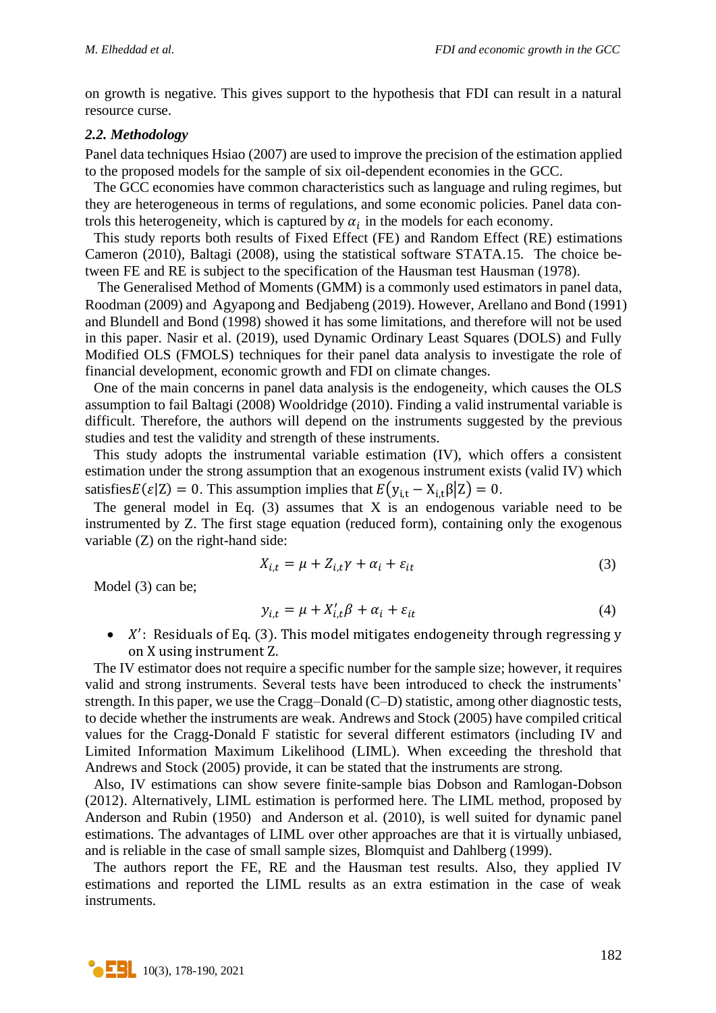on growth is negative. This gives support to the hypothesis that FDI can result in a natural resource curse.

#### *2.2. Methodology*

Panel data techniques Hsiao (2007) are used to improve the precision of the estimation applied to the proposed models for the sample of six oil-dependent economies in the GCC.

The GCC economies have common characteristics such as language and ruling regimes, but they are heterogeneous in terms of regulations, and some economic policies. Panel data controls this heterogeneity, which is captured by  $\alpha_i$  in the models for each economy.

This study reports both results of Fixed Effect (FE) and Random Effect (RE) estimations Cameron (2010), Baltagi (2008), using the statistical software STATA.15. The choice between FE and RE is subject to the specification of the Hausman test Hausman (1978).

The Generalised Method of Moments (GMM) is a commonly used estimators in panel data, Roodman (2009) and Agyapong and Bedjabeng (2019). However, Arellano and Bond (1991) and Blundell and Bond (1998) showed it has some limitations, and therefore will not be used in this paper. Nasir et al. (2019), used Dynamic Ordinary Least Squares (DOLS) and Fully Modified OLS (FMOLS) techniques for their panel data analysis to investigate the role of financial development, economic growth and FDI on climate changes.

One of the main concerns in panel data analysis is the endogeneity, which causes the OLS assumption to fail Baltagi (2008) Wooldridge (2010). Finding a valid instrumental variable is difficult. Therefore, the authors will depend on the instruments suggested by the previous studies and test the validity and strength of these instruments.

This study adopts the instrumental variable estimation (IV), which offers a consistent estimation under the strong assumption that an exogenous instrument exists (valid IV) which satisfies $E(\varepsilon|Z) = 0$ . This assumption implies that  $E(y_{i,t} - X_{i,t} \beta | Z) = 0$ .

The general model in Eq.  $(3)$  assumes that X is an endogenous variable need to be instrumented by Z. The first stage equation (reduced form), containing only the exogenous variable (Z) on the right-hand side:

$$
X_{i,t} = \mu + Z_{i,t}\gamma + \alpha_i + \varepsilon_{it}
$$
\n<sup>(3)</sup>

Model (3) can be;

$$
y_{i,t} = \mu + X'_{i,t}\beta + \alpha_i + \varepsilon_{it}
$$
\n<sup>(4)</sup>

 $\bullet$  X': Residuals of Eq. (3). This model mitigates endogeneity through regressing y on X using instrument Z.

The IV estimator does not require a specific number for the sample size; however, it requires valid and strong instruments. Several tests have been introduced to check the instruments' strength. In this paper, we use the Cragg–Donald (C–D) statistic, among other diagnostic tests, to decide whether the instruments are weak. Andrews and Stock (2005) have compiled critical values for the Cragg-Donald F statistic for several different estimators (including IV and Limited Information Maximum Likelihood (LIML). When exceeding the threshold that Andrews and Stock (2005) provide, it can be stated that the instruments are strong.

Also, IV estimations can show severe finite-sample bias Dobson and Ramlogan-Dobson (2012). Alternatively, LIML estimation is performed here. The LIML method, proposed by Anderson and Rubin (1950) and Anderson et al. (2010), is well suited for dynamic panel estimations. The advantages of LIML over other approaches are that it is virtually unbiased, and is reliable in the case of small sample sizes, Blomquist and Dahlberg (1999).

The authors report the FE, RE and the Hausman test results. Also, they applied IV estimations and reported the LIML results as an extra estimation in the case of weak instruments.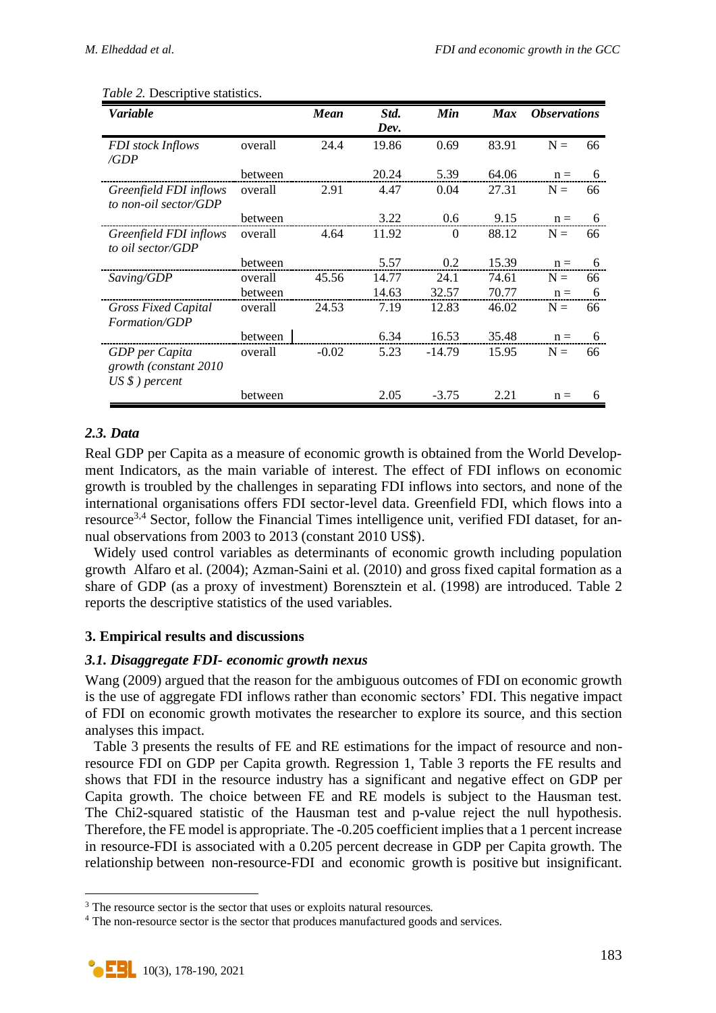| Variable                   |         | <b>Mean</b> | Std.<br>Dev. | Min      | <b>Max</b> | <i><b>Observations</b></i> |    |
|----------------------------|---------|-------------|--------------|----------|------------|----------------------------|----|
| <b>FDI</b> stock Inflows   | overall | 24.4        | 19.86        | 0.69     | 83.91      | $N =$                      | 66 |
| /GDP                       |         |             |              |          |            |                            |    |
|                            | between |             | 20.24        | 5.39     | 64.06      | $n =$                      | 6  |
| Greenfield FDI inflows     | overall | 2.91        | 4.47         | 0.04     | 27.31      | $N =$                      | 66 |
| to non-oil sector/GDP      |         |             |              |          |            |                            |    |
|                            | between |             | 3.22         | 0.6      | 9.15       | $n =$                      | 6  |
| Greenfield FDI inflows     | overall | 4.64        | 11.92        | $\theta$ | 88.12      | $N =$                      | 66 |
| to oil sector/GDP          |         |             |              |          |            |                            |    |
|                            | between |             | 5.57         | 0.2      | 15.39      | $n =$                      | 6  |
| Saving/GDP                 | overall | 45.56       | 14.77        | 24.1     | 74.61      | $N =$                      | 66 |
|                            | between |             | 14.63        | 32.57    | 70.77      | $n =$                      | 6  |
| <b>Gross Fixed Capital</b> | overall | 24.53       | 7.19         | 12.83    | 46.02      | $N =$                      | 66 |
| Formation/GDP              |         |             |              |          |            |                            |    |
|                            | between |             | 6.34         | 16.53    | 35.48      | $n =$                      | 6  |
| GDP per Capita             | overall | $-0.02$     | 5.23         | $-14.79$ | 15.95      | $N =$                      | 66 |
| growth (constant 2010      |         |             |              |          |            |                            |    |
| $US \$ ) percent           |         |             |              |          |            |                            |    |
|                            | between |             | 2.05         | $-3.75$  | 2.21       | $n =$                      | 6  |

#### *Table 2.* Descriptive statistics.

# *2.3. Data*

Real GDP per Capita as a measure of economic growth is obtained from the World Development Indicators, as the main variable of interest. The effect of FDI inflows on economic growth is troubled by the challenges in separating FDI inflows into sectors, and none of the international organisations offers FDI sector-level data. Greenfield FDI, which flows into a resource<sup>3,4</sup> Sector, follow the Financial Times intelligence unit, verified FDI dataset, for annual observations from 2003 to 2013 (constant 2010 US\$).

Widely used control variables as determinants of economic growth including population growth Alfaro et al. (2004); Azman-Saini et al. (2010) and gross fixed capital formation as a share of GDP (as a proxy of investment) Borensztein et al. (1998) are introduced. Table 2 reports the descriptive statistics of the used variables.

# **3. Empirical results and discussions**

### *3.1. Disaggregate FDI- economic growth nexus*

Wang (2009) argued that the reason for the ambiguous outcomes of FDI on economic growth is the use of aggregate FDI inflows rather than economic sectors' FDI. This negative impact of FDI on economic growth motivates the researcher to explore its source, and this section analyses this impact.

Table 3 presents the results of FE and RE estimations for the impact of resource and nonresource FDI on GDP per Capita growth. Regression 1, Table 3 reports the FE results and shows that FDI in the resource industry has a significant and negative effect on GDP per Capita growth. The choice between FE and RE models is subject to the Hausman test. The Chi2-squared statistic of the Hausman test and p-value reject the null hypothesis. Therefore, the FE model is appropriate. The -0.205 coefficient implies that a 1 percent increase in resource-FDI is associated with a 0.205 percent decrease in GDP per Capita growth. The relationship between non-resource-FDI and economic growth is positive but insignificant.

<sup>&</sup>lt;sup>3</sup> The resource sector is the sector that uses or exploits natural resources.

<sup>&</sup>lt;sup>4</sup> The non-resource sector is the sector that produces manufactured goods and services.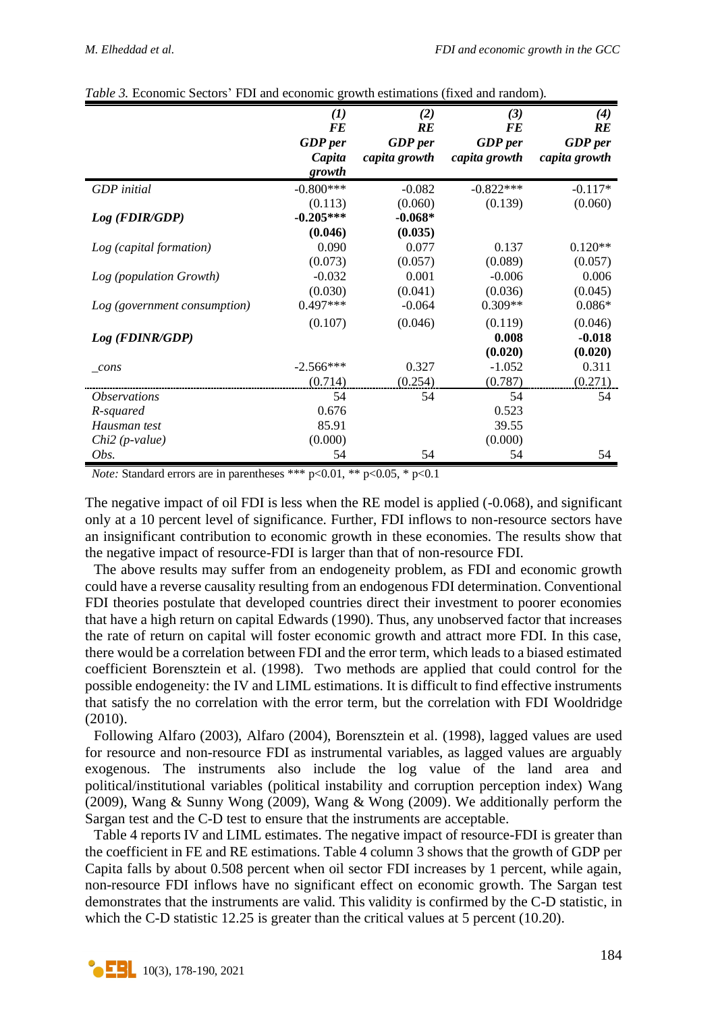|                              | $\bf(1)$       | (2)            | (3)            | (4)            |
|------------------------------|----------------|----------------|----------------|----------------|
|                              | <b>FE</b>      | RE             | <b>FE</b>      | RE             |
|                              | <b>GDP</b> per | <b>GDP</b> per | <b>GDP</b> per | <b>GDP</b> per |
|                              | Capita         | capita growth  | capita growth  | capita growth  |
|                              | growth         |                |                |                |
| <b>GDP</b> initial           | $-0.800***$    | $-0.082$       | $-0.822***$    | $-0.117*$      |
|                              | (0.113)        | (0.060)        | (0.139)        | (0.060)        |
| $Log$ (FDIR/GDP)             | $-0.205***$    | $-0.068*$      |                |                |
|                              | (0.046)        | (0.035)        |                |                |
| Log (capital formation)      | 0.090          | 0.077          | 0.137          | $0.120**$      |
|                              | (0.073)        | (0.057)        | (0.089)        | (0.057)        |
| Log (population Growth)      | $-0.032$       | 0.001          | $-0.006$       | 0.006          |
|                              | (0.030)        | (0.041)        | (0.036)        | (0.045)        |
| Log (government consumption) | $0.497***$     | $-0.064$       | $0.309**$      | $0.086*$       |
|                              | (0.107)        | (0.046)        | (0.119)        | (0.046)        |
| Log (FDINR/GDP)              |                |                | 0.008          | $-0.018$       |
|                              |                |                | (0.020)        | (0.020)        |
| cons                         | $-2.566***$    | 0.327          | $-1.052$       | 0.311          |
|                              | (0.714)        | (0.254)        | (0.787)        | (0.271)        |
| <i><b>Observations</b></i>   | 54             | 54             | 54             | 54             |
| R-squared                    | 0.676          |                | 0.523          |                |
| Hausman test                 | 85.91          |                | 39.55          |                |
| $Chi2(p-value)$              | (0.000)        |                | (0.000)        |                |
| Obs.                         | 54             | 54             | 54             | 54             |

| Table 3. Economic Sectors' FDI and economic growth estimations (fixed and random). |  |  |  |  |
|------------------------------------------------------------------------------------|--|--|--|--|
|                                                                                    |  |  |  |  |

*Note:* Standard errors are in parentheses \*\*\* p<0.01, \*\* p<0.05, \* p<0.1

The negative impact of oil FDI is less when the RE model is applied (-0.068), and significant only at a 10 percent level of significance. Further, FDI inflows to non-resource sectors have an insignificant contribution to economic growth in these economies. The results show that the negative impact of resource-FDI is larger than that of non-resource FDI.

The above results may suffer from an endogeneity problem, as FDI and economic growth could have a reverse causality resulting from an endogenous FDI determination. Conventional FDI theories postulate that developed countries direct their investment to poorer economies that have a high return on capital Edwards (1990). Thus, any unobserved factor that increases the rate of return on capital will foster economic growth and attract more FDI. In this case, there would be a correlation between FDI and the error term, which leads to a biased estimated coefficient Borensztein et al. (1998). Two methods are applied that could control for the possible endogeneity: the IV and LIML estimations. It is difficult to find effective instruments that satisfy the no correlation with the error term, but the correlation with FDI Wooldridge (2010).

Following Alfaro (2003), Alfaro (2004), Borensztein et al. (1998), lagged values are used for resource and non-resource FDI as instrumental variables, as lagged values are arguably exogenous. The instruments also include the log value of the land area and political/institutional variables (political instability and corruption perception index) Wang (2009), Wang & Sunny Wong (2009), Wang & Wong (2009). We additionally perform the Sargan test and the C-D test to ensure that the instruments are acceptable.

Table 4 reports IV and LIML estimates. The negative impact of resource-FDI is greater than the coefficient in FE and RE estimations. Table 4 column 3 shows that the growth of GDP per Capita falls by about 0.508 percent when oil sector FDI increases by 1 percent, while again, non-resource FDI inflows have no significant effect on economic growth. The Sargan test demonstrates that the instruments are valid. This validity is confirmed by the C-D statistic, in which the C-D statistic 12.25 is greater than the critical values at 5 percent (10.20).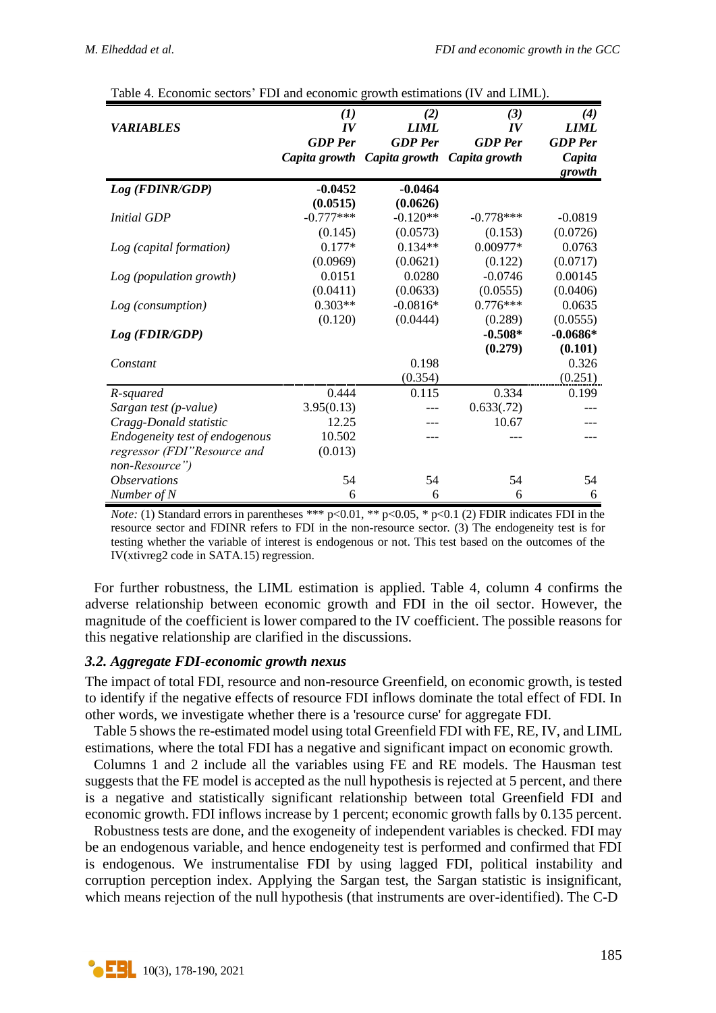|                                | (1)            | (2)                         | (3)            | (4)              |
|--------------------------------|----------------|-----------------------------|----------------|------------------|
| <b>VARIABLES</b>               | IV             | <b>LIML</b>                 | IV             | <b>LIML</b>      |
|                                | <b>GDP</b> Per | <b>GDP</b> Per              | <b>GDP</b> Per | <b>GDP</b> Per   |
|                                |                |                             |                |                  |
|                                | Capita growth  | Capita growth Capita growth |                | Capita<br>growth |
| Log (FDINR/GDP)                | $-0.0452$      | $-0.0464$                   |                |                  |
|                                | (0.0515)       | (0.0626)                    |                |                  |
| <i>Initial GDP</i>             | $-0.777***$    | $-0.120**$                  | $-0.778***$    | $-0.0819$        |
|                                |                |                             |                |                  |
|                                | (0.145)        | (0.0573)                    | (0.153)        | (0.0726)         |
| Log (capital formation)        | $0.177*$       | $0.134**$                   | 0.00977*       | 0.0763           |
|                                | (0.0969)       | (0.0621)                    | (0.122)        | (0.0717)         |
| Log (population growth)        | 0.0151         | 0.0280                      | $-0.0746$      | 0.00145          |
|                                | (0.0411)       | (0.0633)                    | (0.0555)       | (0.0406)         |
| Log (consumption)              | $0.303**$      | $-0.0816*$                  | $0.776***$     | 0.0635           |
|                                | (0.120)        | (0.0444)                    | (0.289)        | (0.0555)         |
| Log (FDIR/GDP)                 |                |                             | $-0.508*$      | $-0.0686*$       |
|                                |                |                             | (0.279)        | (0.101)          |
| Constant                       |                | 0.198                       |                | 0.326            |
|                                |                | (0.354)                     |                | (0.251)          |
| R-squared                      | 0.444          | 0.115                       | 0.334          | 0.199            |
| Sargan test (p-value)          | 3.95(0.13)     |                             | 0.633(.72)     |                  |
| Cragg-Donald statistic         | 12.25          |                             | 10.67          |                  |
| Endogeneity test of endogenous | 10.502         |                             |                |                  |
| regressor (FDI"Resource and    | (0.013)        |                             |                |                  |
| non-Resource")                 |                |                             |                |                  |
| <i><b>Observations</b></i>     | 54             | 54                          | 54             | 54               |
| Number of N                    | 6              | 6                           | 6              | 6                |

| Table 4. Economic sectors' FDI and economic growth estimations (IV and LIML). |  |  |  |  |
|-------------------------------------------------------------------------------|--|--|--|--|
|                                                                               |  |  |  |  |

*Note:* (1) Standard errors in parentheses \*\*\* p<0.01, \*\* p<0.05, \* p<0.1 (2) FDIR indicates FDI in the resource sector and FDINR refers to FDI in the non-resource sector. (3) The endogeneity test is for testing whether the variable of interest is endogenous or not. This test based on the outcomes of the IV(xtivreg2 code in SATA.15) regression.

For further robustness, the LIML estimation is applied. Table 4, column 4 confirms the adverse relationship between economic growth and FDI in the oil sector. However, the magnitude of the coefficient is lower compared to the IV coefficient. The possible reasons for this negative relationship are clarified in the discussions.

### *3.2. Aggregate FDI-economic growth nexus*

The impact of total FDI, resource and non-resource Greenfield, on economic growth, is tested to identify if the negative effects of resource FDI inflows dominate the total effect of FDI. In other words, we investigate whether there is a 'resource curse' for aggregate FDI.

Table 5 shows the re-estimated model using total Greenfield FDI with FE, RE, IV, and LIML estimations, where the total FDI has a negative and significant impact on economic growth.

Columns 1 and 2 include all the variables using FE and RE models. The Hausman test suggests that the FE model is accepted as the null hypothesis is rejected at 5 percent, and there is a negative and statistically significant relationship between total Greenfield FDI and economic growth. FDI inflows increase by 1 percent; economic growth falls by 0.135 percent.

Robustness tests are done, and the exogeneity of independent variables is checked. FDI may be an endogenous variable, and hence endogeneity test is performed and confirmed that FDI is endogenous. We instrumentalise FDI by using lagged FDI, political instability and corruption perception index. Applying the Sargan test, the Sargan statistic is insignificant, which means rejection of the null hypothesis (that instruments are over-identified). The C-D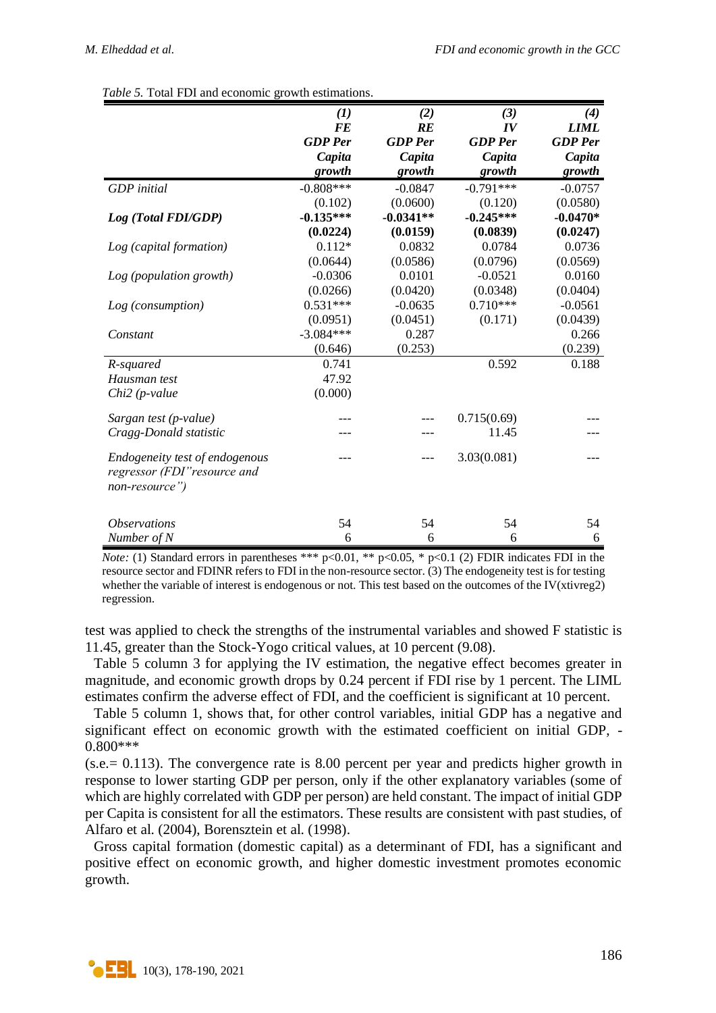|                                                                                  | $\bf(1)$       | (2)            | (3)            | (4)            |
|----------------------------------------------------------------------------------|----------------|----------------|----------------|----------------|
|                                                                                  | <b>FE</b>      | RE             | IV             | <b>LIML</b>    |
|                                                                                  | <b>GDP</b> Per | <b>GDP</b> Per | <b>GDP</b> Per | <b>GDP</b> Per |
|                                                                                  | Capita         | Capita         | Capita         | Capita         |
|                                                                                  | growth         | growth         | growth         | growth         |
| <b>GDP</b> initial                                                               | $-0.808***$    | $-0.0847$      | $-0.791***$    | $-0.0757$      |
|                                                                                  | (0.102)        | (0.0600)       | (0.120)        | (0.0580)       |
| Log (Total FDI/GDP)                                                              | $-0.135***$    | $-0.0341**$    | $-0.245***$    | $-0.0470*$     |
|                                                                                  | (0.0224)       | (0.0159)       | (0.0839)       | (0.0247)       |
| Log (capital formation)                                                          | $0.112*$       | 0.0832         | 0.0784         | 0.0736         |
|                                                                                  | (0.0644)       | (0.0586)       | (0.0796)       | (0.0569)       |
| Log (population growth)                                                          | $-0.0306$      | 0.0101         | $-0.0521$      | 0.0160         |
|                                                                                  | (0.0266)       | (0.0420)       | (0.0348)       | (0.0404)       |
| Log (consumption)                                                                | $0.531***$     | $-0.0635$      | $0.710***$     | $-0.0561$      |
|                                                                                  | (0.0951)       | (0.0451)       | (0.171)        | (0.0439)       |
| Constant                                                                         | $-3.084***$    | 0.287          |                | 0.266          |
|                                                                                  | (0.646)        | (0.253)        |                | (0.239)        |
| R-squared                                                                        | 0.741          |                | 0.592          | 0.188          |
| Hausman test                                                                     | 47.92          |                |                |                |
| $Chi2$ (p-value                                                                  | (0.000)        |                |                |                |
| Sargan test (p-value)                                                            |                |                | 0.715(0.69)    |                |
| Cragg-Donald statistic                                                           |                |                | 11.45          |                |
| Endogeneity test of endogenous<br>regressor (FDI" resource and<br>non-resource") |                |                | 3.03(0.081)    |                |
|                                                                                  |                |                |                |                |
| <i><b>Observations</b></i>                                                       | 54             | 54             | 54             | 54             |
| Number of N                                                                      | 6              | 6              | 6              | 6              |

*Table 5.* Total FDI and economic growth estimations.

*Note:* (1) Standard errors in parentheses \*\*\*  $p<0.01$ , \*\*  $p<0.05$ , \*  $p<0.1$  (2) FDIR indicates FDI in the resource sector and FDINR refers to FDI in the non-resource sector. (3) The endogeneity test is for testing whether the variable of interest is endogenous or not. This test based on the outcomes of the IV(xtivreg2) regression.

test was applied to check the strengths of the instrumental variables and showed F statistic is 11.45, greater than the Stock-Yogo critical values, at 10 percent (9.08).

Table 5 column 3 for applying the IV estimation, the negative effect becomes greater in magnitude, and economic growth drops by 0.24 percent if FDI rise by 1 percent. The LIML estimates confirm the adverse effect of FDI, and the coefficient is significant at 10 percent.

Table 5 column 1, shows that, for other control variables, initial GDP has a negative and significant effect on economic growth with the estimated coefficient on initial GDP, - 0.800\*\*\*

 $(s.e.= 0.113)$ . The convergence rate is 8.00 percent per year and predicts higher growth in response to lower starting GDP per person, only if the other explanatory variables (some of which are highly correlated with GDP per person) are held constant. The impact of initial GDP per Capita is consistent for all the estimators. These results are consistent with past studies, of Alfaro et al. (2004), Borensztein et al. (1998).

Gross capital formation (domestic capital) as a determinant of FDI, has a significant and positive effect on economic growth, and higher domestic investment promotes economic growth.

**• EBL** 10(3), 178-190, 2021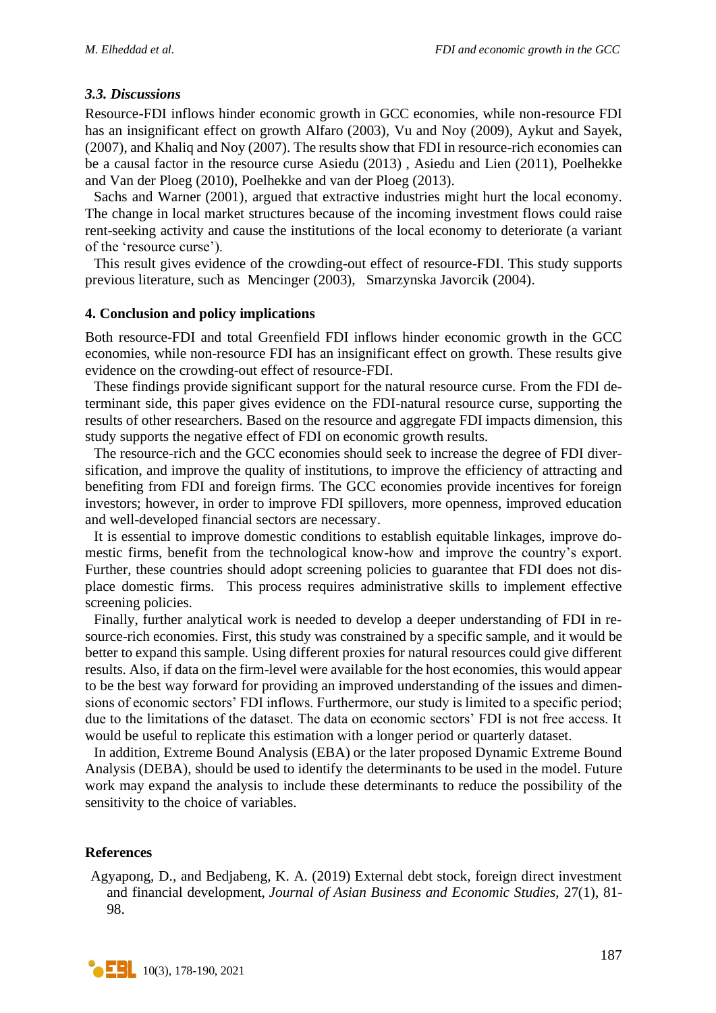# *3.3. Discussions*

Resource-FDI inflows hinder economic growth in GCC economies, while non-resource FDI has an insignificant effect on growth Alfaro (2003), Vu and Noy (2009), Aykut and Sayek, (2007), and Khaliq and Noy (2007). The results show that FDI in resource-rich economies can be a causal factor in the resource curse Asiedu (2013) , Asiedu and Lien (2011), Poelhekke and Van der Ploeg (2010), Poelhekke and van der Ploeg (2013).

Sachs and Warner (2001), argued that extractive industries might hurt the local economy. The change in local market structures because of the incoming investment flows could raise rent-seeking activity and cause the institutions of the local economy to deteriorate (a variant of the 'resource curse').

This result gives evidence of the crowding-out effect of resource-FDI. This study supports previous literature, such as Mencinger (2003), Smarzynska Javorcik (2004).

#### **4. Conclusion and policy implications**

Both resource-FDI and total Greenfield FDI inflows hinder economic growth in the GCC economies, while non-resource FDI has an insignificant effect on growth. These results give evidence on the crowding-out effect of resource-FDI.

These findings provide significant support for the natural resource curse. From the FDI determinant side, this paper gives evidence on the FDI-natural resource curse, supporting the results of other researchers. Based on the resource and aggregate FDI impacts dimension, this study supports the negative effect of FDI on economic growth results.

The resource-rich and the GCC economies should seek to increase the degree of FDI diversification, and improve the quality of institutions, to improve the efficiency of attracting and benefiting from FDI and foreign firms. The GCC economies provide incentives for foreign investors; however, in order to improve FDI spillovers, more openness, improved education and well-developed financial sectors are necessary.

It is essential to improve domestic conditions to establish equitable linkages, improve domestic firms, benefit from the technological know-how and improve the country's export. Further, these countries should adopt screening policies to guarantee that FDI does not displace domestic firms. This process requires administrative skills to implement effective screening policies.

Finally, further analytical work is needed to develop a deeper understanding of FDI in resource-rich economies. First, this study was constrained by a specific sample, and it would be better to expand this sample. Using different proxies for natural resources could give different results. Also, if data on the firm-level were available for the host economies, this would appear to be the best way forward for providing an improved understanding of the issues and dimensions of economic sectors' FDI inflows. Furthermore, our study is limited to a specific period; due to the limitations of the dataset. The data on economic sectors' FDI is not free access. It would be useful to replicate this estimation with a longer period or quarterly dataset.

In addition, Extreme Bound Analysis (EBA) or the later proposed Dynamic Extreme Bound Analysis (DEBA), should be used to identify the determinants to be used in the model. Future work may expand the analysis to include these determinants to reduce the possibility of the sensitivity to the choice of variables.

### **References**

Agyapong, D., and Bedjabeng, K. A. (2019) External debt stock, foreign direct investment and financial development, *Journal of Asian Business and Economic Studies*, 27(1), 81- 98.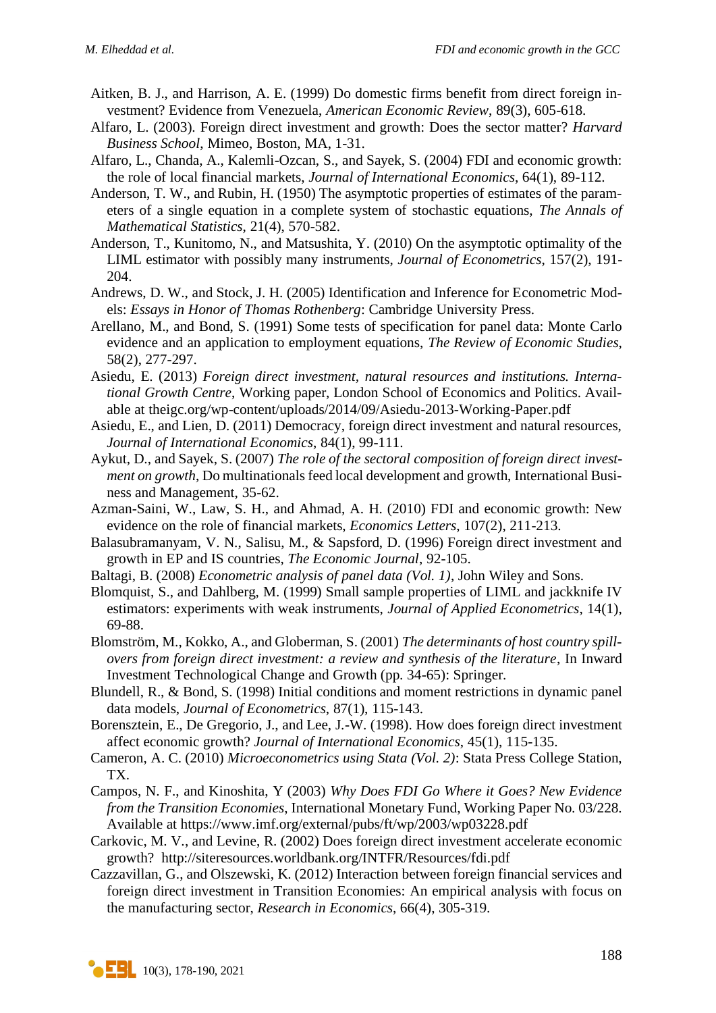- Aitken, B. J., and Harrison, A. E. (1999) Do domestic firms benefit from direct foreign investment? Evidence from Venezuela, *American Economic Review*, 89(3), 605-618.
- Alfaro, L. (2003). Foreign direct investment and growth: Does the sector matter? *Harvard Business School*, Mimeo, Boston, MA, 1-31.
- Alfaro, L., Chanda, A., Kalemli-Ozcan, S., and Sayek, S. (2004) FDI and economic growth: the role of local financial markets, *Journal of International Economics*, 64(1), 89-112.
- Anderson, T. W., and Rubin, H. (1950) The asymptotic properties of estimates of the parameters of a single equation in a complete system of stochastic equations, *The Annals of Mathematical Statistics*, 21(4), 570-582.
- Anderson, T., Kunitomo, N., and Matsushita, Y. (2010) On the asymptotic optimality of the LIML estimator with possibly many instruments, *Journal of Econometrics*, 157(2), 191- 204.
- Andrews, D. W., and Stock, J. H. (2005) Identification and Inference for Econometric Models: *Essays in Honor of Thomas Rothenberg*: Cambridge University Press.
- Arellano, M., and Bond, S. (1991) Some tests of specification for panel data: Monte Carlo evidence and an application to employment equations, *The Review of Economic Studies*, 58(2), 277-297.
- Asiedu, E. (2013) *Foreign direct investment, natural resources and institutions. International Growth Centre*, Working paper, London School of Economics and Politics. Available at theigc.org/wp-content/uploads/2014/09/Asiedu-2013-Working-Paper.pdf
- Asiedu, E., and Lien, D. (2011) Democracy, foreign direct investment and natural resources, *Journal of International Economics*, 84(1), 99-111.
- Aykut, D., and Sayek, S. (2007) *The role of the sectoral composition of foreign direct investment on growth*, Do multinationals feed local development and growth, International Business and Management, 35-62.
- Azman-Saini, W., Law, S. H., and Ahmad, A. H. (2010) FDI and economic growth: New evidence on the role of financial markets, *Economics Letters*, 107(2), 211-213.
- Balasubramanyam, V. N., Salisu, M., & Sapsford, D. (1996) Foreign direct investment and growth in EP and IS countries, *The Economic Journal*, 92-105.
- Baltagi, B. (2008) *Econometric analysis of panel data (Vol. 1)*, John Wiley and Sons.
- Blomquist, S., and Dahlberg, M. (1999) Small sample properties of LIML and jackknife IV estimators: experiments with weak instruments, *Journal of Applied Econometrics*, 14(1), 69-88.
- Blomström, M., Kokko, A., and Globerman, S. (2001) *The determinants of host country spillovers from foreign direct investment: a review and synthesis of the literature*, In Inward Investment Technological Change and Growth (pp. 34-65): Springer.
- Blundell, R., & Bond, S. (1998) Initial conditions and moment restrictions in dynamic panel data models, *Journal of Econometrics*, 87(1), 115-143.
- Borensztein, E., De Gregorio, J., and Lee, J.-W. (1998). How does foreign direct investment affect economic growth? *Journal of International Economics*, 45(1), 115-135.
- Cameron, A. C. (2010) *Microeconometrics using Stata (Vol. 2)*: Stata Press College Station, TX.
- Campos, N. F., and Kinoshita, Y (2003) *Why Does FDI Go Where it Goes? New Evidence from the Transition Economies*, International Monetary Fund, Working Paper No. 03/228. Available at https://www.imf.org/external/pubs/ft/wp/2003/wp03228.pdf
- Carkovic, M. V., and Levine, R. (2002) Does foreign direct investment accelerate economic growth? http://siteresources.worldbank.org/INTFR/Resources/fdi.pdf
- Cazzavillan, G., and Olszewski, K. (2012) Interaction between foreign financial services and foreign direct investment in Transition Economies: An empirical analysis with focus on the manufacturing sector, *Research in Economics*, 66(4), 305-319.

 $\left\vert \right\vert$  10(3), 178-190, 2021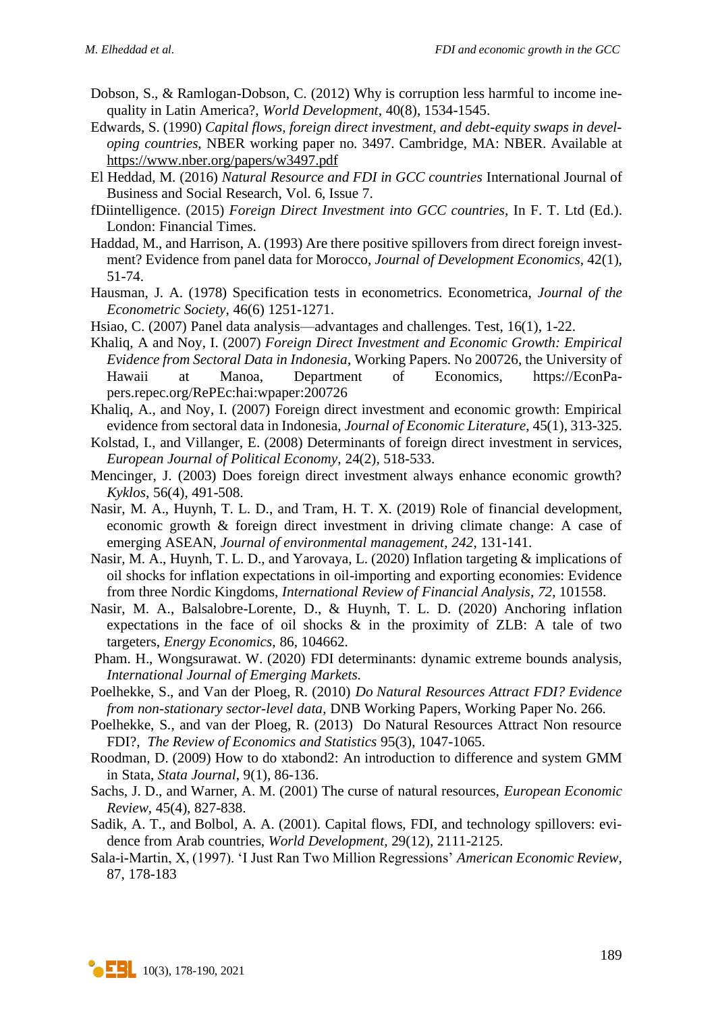- Dobson, S., & Ramlogan-Dobson, C. (2012) Why is corruption less harmful to income inequality in Latin America?, *World Development*, 40(8), 1534-1545.
- Edwards, S. (1990) *Capital flows, foreign direct investment, and debt-equity swaps in developing countries*, NBER working paper no. 3497. Cambridge, MA: NBER. Available at <https://www.nber.org/papers/w3497.pdf>
- El Heddad, M. (2016) *Natural Resource and FDI in GCC countries* International Journal of Business and Social Research, Vol. 6, Issue 7.
- fDiintelligence. (2015) *Foreign Direct Investment into GCC countries*, In F. T. Ltd (Ed.). London: Financial Times.
- Haddad, M., and Harrison, A. (1993) Are there positive spillovers from direct foreign investment? Evidence from panel data for Morocco, *Journal of Development Economics*, 42(1), 51-74.
- Hausman, J. A. (1978) Specification tests in econometrics. Econometrica, *Journal of the Econometric Society*, 46(6) 1251-1271.
- Hsiao, C. (2007) Panel data analysis—advantages and challenges. Test, 16(1), 1-22.
- Khaliq, A and Noy, I. (2007) *Foreign Direct Investment and Economic Growth: Empirical Evidence from Sectoral Data in Indonesia*, Working Papers. No 200726, the University of Hawaii at Manoa, Department of Economics, https://EconPapers.repec.org/RePEc:hai:wpaper:200726
- Khaliq, A., and Noy, I. (2007) Foreign direct investment and economic growth: Empirical evidence from sectoral data in Indonesia, *Journal of Economic Literature*, 45(1), 313-325.
- Kolstad, I., and Villanger, E. (2008) Determinants of foreign direct investment in services, *European Journal of Political Economy*, 24(2), 518-533.
- Mencinger, J. (2003) Does foreign direct investment always enhance economic growth? *Kyklos*, 56(4), 491-508.
- Nasir, M. A., Huynh, T. L. D., and Tram, H. T. X. (2019) Role of financial development, economic growth & foreign direct investment in driving climate change: A case of emerging ASEAN, *Journal of environmental management*, *242*, 131-141.
- Nasir, M. A., Huynh, T. L. D., and Yarovaya, L. (2020) Inflation targeting & implications of oil shocks for inflation expectations in oil-importing and exporting economies: Evidence from three Nordic Kingdoms, *International Review of Financial Analysis*, *72*, 101558.
- Nasir, M. A., Balsalobre-Lorente, D., & Huynh, T. L. D. (2020) Anchoring inflation expectations in the face of oil shocks  $\&$  in the proximity of ZLB: A tale of two targeters, *Energy Economics*, 86, 104662.
- [Pham.](https://www.researchgate.net/profile/Huyen_Pham45) H., [Wongsurawat.](https://www.researchgate.net/scientific-contributions/Winai-Wongsurawat-2176745332) W. (2020) FDI determinants: dynamic extreme bounds analysis, *[International Journal of Emerging Markets.](https://www.researchgate.net/journal/International-Journal-of-Emerging-Markets-1746-8809)*
- Poelhekke, S., and Van der Ploeg, R. (2010) *Do Natural Resources Attract FDI? Evidence from non-stationary sector-level data*, DNB Working Papers, Working Paper No. 266.
- Poelhekke, S., and van der Ploeg, R. (2013) Do Natural Resources Attract Non resource FDI?, *The Review of Economics and Statistics* 95(3), 1047-1065.
- Roodman, D. (2009) How to do xtabond2: An introduction to difference and system GMM in Stata, *Stata Journal*, 9(1), 86-136.
- Sachs, J. D., and Warner, A. M. (2001) The curse of natural resources, *European Economic Review*, 45(4), 827-838.
- Sadik, A. T., and Bolbol, A. A. (2001). Capital flows, FDI, and technology spillovers: evidence from Arab countries, *World Development*, 29(12), 2111-2125.
- Sala-i-Martin, X, (1997). 'I Just Ran Two Million Regressions' *American Economic Review*, 87, 178-183